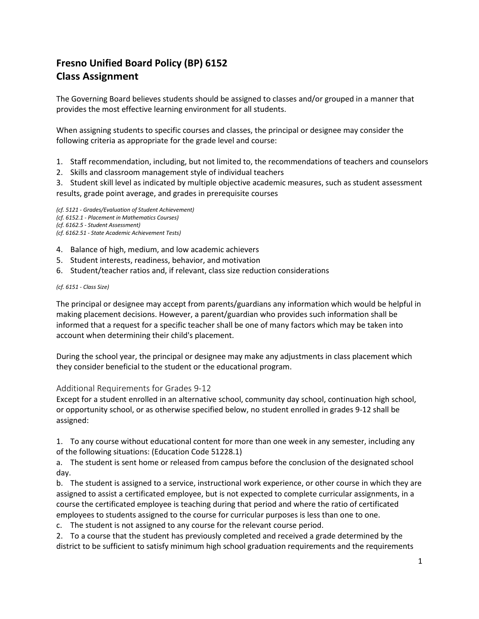## **Fresno Unified Board Policy (BP) 6152 Class Assignment**

The Governing Board believes students should be assigned to classes and/or grouped in a manner that provides the most effective learning environment for all students.

When assigning students to specific courses and classes, the principal or designee may consider the following criteria as appropriate for the grade level and course:

- 1. Staff recommendation, including, but not limited to, the recommendations of teachers and counselors
- 2. Skills and classroom management style of individual teachers

3. Student skill level as indicated by multiple objective academic measures, such as student assessment results, grade point average, and grades in prerequisite courses

```
(cf. 5121 - Grades/Evaluation of Student Achievement)
(cf. 6152.1 - Placement in Mathematics Courses)
(cf. 6162.5 - Student Assessment)
(cf. 6162.51 - State Academic Achievement Tests)
```
- 4. Balance of high, medium, and low academic achievers
- 5. Student interests, readiness, behavior, and motivation
- 6. Student/teacher ratios and, if relevant, class size reduction considerations

## *(cf. 6151 - Class Size)*

The principal or designee may accept from parents/guardians any information which would be helpful in making placement decisions. However, a parent/guardian who provides such information shall be informed that a request for a specific teacher shall be one of many factors which may be taken into account when determining their child's placement.

During the school year, the principal or designee may make any adjustments in class placement which they consider beneficial to the student or the educational program.

## Additional Requirements for Grades 9-12

Except for a student enrolled in an alternative school, community day school, continuation high school, or opportunity school, or as otherwise specified below, no student enrolled in grades 9-12 shall be assigned:

1. To any course without educational content for more than one week in any semester, including any of the following situations: (Education Code 51228.1)

a. The student is sent home or released from campus before the conclusion of the designated school day.

b. The student is assigned to a service, instructional work experience, or other course in which they are assigned to assist a certificated employee, but is not expected to complete curricular assignments, in a course the certificated employee is teaching during that period and where the ratio of certificated employees to students assigned to the course for curricular purposes is less than one to one.

c. The student is not assigned to any course for the relevant course period.

2. To a course that the student has previously completed and received a grade determined by the district to be sufficient to satisfy minimum high school graduation requirements and the requirements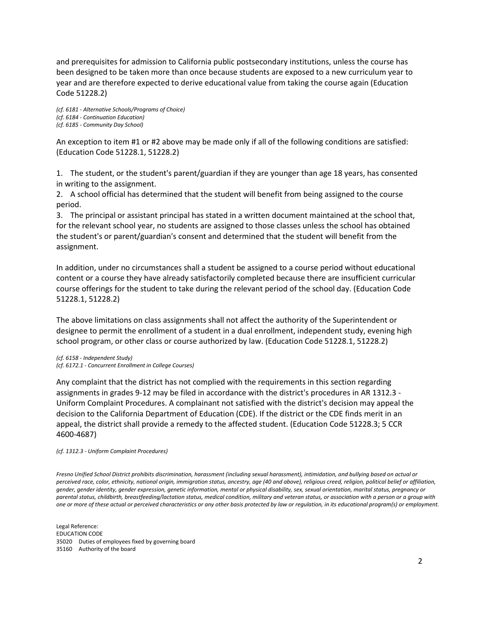and prerequisites for admission to California public postsecondary institutions, unless the course has been designed to be taken more than once because students are exposed to a new curriculum year to year and are therefore expected to derive educational value from taking the course again (Education Code 51228.2)

*(cf. 6181 - Alternative Schools/Programs of Choice) (cf. 6184 - Continuation Education) (cf. 6185 - Community Day School)*

An exception to item #1 or #2 above may be made only if all of the following conditions are satisfied: (Education Code 51228.1, 51228.2)

1. The student, or the student's parent/guardian if they are younger than age 18 years, has consented in writing to the assignment.

2. A school official has determined that the student will benefit from being assigned to the course period.

3. The principal or assistant principal has stated in a written document maintained at the school that, for the relevant school year, no students are assigned to those classes unless the school has obtained the student's or parent/guardian's consent and determined that the student will benefit from the assignment.

In addition, under no circumstances shall a student be assigned to a course period without educational content or a course they have already satisfactorily completed because there are insufficient curricular course offerings for the student to take during the relevant period of the school day. (Education Code 51228.1, 51228.2)

The above limitations on class assignments shall not affect the authority of the Superintendent or designee to permit the enrollment of a student in a dual enrollment, independent study, evening high school program, or other class or course authorized by law. (Education Code 51228.1, 51228.2)

*(cf. 6158 - Independent Study) (cf. 6172.1 - Concurrent Enrollment in College Courses)*

Any complaint that the district has not complied with the requirements in this section regarding assignments in grades 9-12 may be filed in accordance with the district's procedures in AR 1312.3 - Uniform Complaint Procedures. A complainant not satisfied with the district's decision may appeal the decision to the California Department of Education (CDE). If the district or the CDE finds merit in an appeal, the district shall provide a remedy to the affected student. (Education Code 51228.3; 5 CCR 4600-4687)

*(cf. 1312.3 - Uniform Complaint Procedures)*

*Fresno Unified School District prohibits discrimination, harassment (including sexual harassment), intimidation, and bullying based on actual or perceived race, color, ethnicity, national origin, immigration status, ancestry, age (40 and above), religious creed, religion, political belief or affiliation, gender, gender identity, gender expression, genetic information, mental or physical disability, sex, sexual orientation, marital status, pregnancy or parental status, childbirth, breastfeeding/lactation status, medical condition, military and veteran status, or association with a person or a group with one or more of these actual or perceived characteristics or any other basis protected by law or regulation, in its educational program(s) or employment.*

Legal Reference: EDUCATION CODE 35020 Duties of employees fixed by governing board 35160 Authority of the board